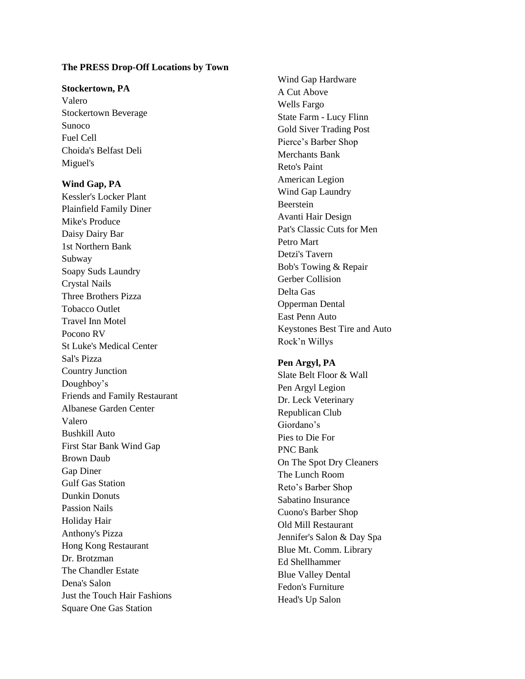#### **The PRESS Drop-Off Locations by Town**

#### **Stockertown, PA**

Valero Stockertown Beverage Sunoco Fuel Cell Choida's Belfast Deli Miguel's

## **Wind Gap, PA**

Kessler's Locker Plant Plainfield Family Diner Mike's Produce Daisy Dairy Bar 1st Northern Bank Subway Soapy Suds Laundry Crystal Nails Three Brothers Pizza Tobacco Outlet Travel Inn Motel Pocono RV St Luke's Medical Center Sal's Pizza Country Junction Doughboy's Friends and Family Restaurant Albanese Garden Center Valero Bushkill Auto First Star Bank Wind Gap Brown Daub Gap Diner Gulf Gas Station Dunkin Donuts Passion Nails Holiday Hair Anthony's Pizza Hong Kong Restaurant Dr. Brotzman The Chandler Estate Dena's Salon Just the Touch Hair Fashions Square One Gas Station

Wind Gap Hardware A Cut Above Wells Fargo State Farm - Lucy Flinn Gold Siver Trading Post Pierce's Barber Shop Merchants Bank Reto's Paint American Legion Wind Gap Laundry Beerstein Avanti Hair Design Pat's Classic Cuts for Men Petro Mart Detzi's Tavern Bob's Towing & Repair Gerber Collision Delta Gas Opperman Dental East Penn Auto Keystones Best Tire and Auto Rock'n Willys

## **Pen Argyl, PA**

Slate Belt Floor & Wall Pen Argyl Legion Dr. Leck Veterinary Republican Club Giordano's Pies to Die For PNC Bank On The Spot Dry Cleaners The Lunch Room Reto's Barber Shop Sabatino Insurance Cuono's Barber Shop Old Mill Restaurant Jennifer's Salon & Day Spa Blue Mt. Comm. Library Ed Shellhammer Blue Valley Dental Fedon's Furniture Head's Up Salon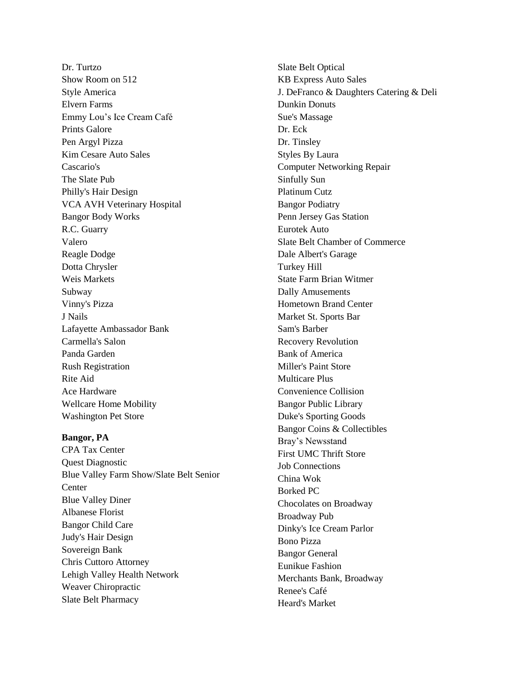Dr. Turtzo Show Room on 512 Style America Elvern Farms Emmy Lou's Ice Cream Café Prints Galore Pen Argyl Pizza Kim Cesare Auto Sales Cascario's The Slate Pub Philly's Hair Design VCA AVH Veterinary Hospital Bangor Body Works R.C. Guarry Valero Reagle Dodge Dotta Chrysler Weis Markets Subway Vinny's Pizza J Nails Lafayette Ambassador Bank Carmella's Salon Panda Garden Rush Registration Rite Aid Ace Hardware Wellcare Home Mobility Washington Pet Store

### **Bangor, PA**

CPA Tax Center Quest Diagnostic Blue Valley Farm Show/Slate Belt Senior **Center** Blue Valley Diner Albanese Florist Bangor Child Care Judy's Hair Design Sovereign Bank Chris Cuttoro Attorney Lehigh Valley Health Network Weaver Chiropractic Slate Belt Pharmacy

Slate Belt Optical KB Express Auto Sales J. DeFranco & Daughters Catering & Deli Dunkin Donuts Sue's Massage Dr. Eck Dr. Tinsley Styles By Laura Computer Networking Repair Sinfully Sun Platinum Cutz Bangor Podiatry Penn Jersey Gas Station Eurotek Auto Slate Belt Chamber of Commerce Dale Albert's Garage Turkey Hill State Farm Brian Witmer Dally Amusements Hometown Brand Center Market St. Sports Bar Sam's Barber Recovery Revolution Bank of America Miller's Paint Store Multicare Plus Convenience Collision Bangor Public Library Duke's Sporting Goods Bangor Coins & Collectibles Bray's Newsstand First UMC Thrift Store Job Connections China Wok Borked PC Chocolates on Broadway Broadway Pub Dinky's Ice Cream Parlor Bono Pizza Bangor General Eunikue Fashion Merchants Bank, Broadway Renee's Café Heard's Market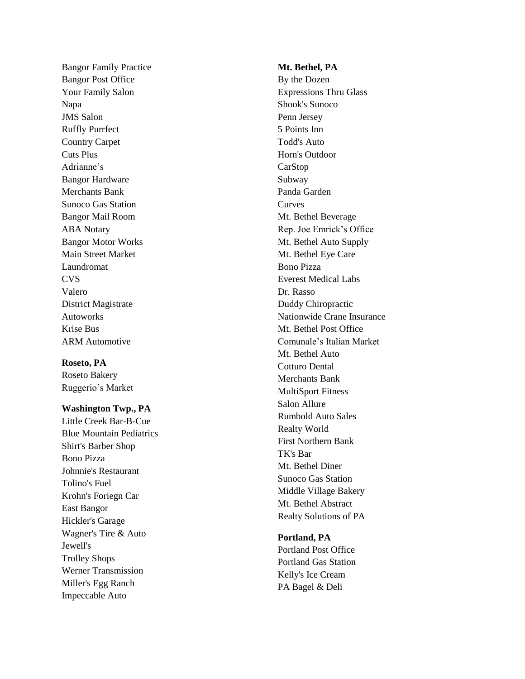Bangor Family Practice Bangor Post Office Your Family Salon Napa JMS Salon Ruffly Purrfect Country Carpet Cuts Plus Adrianne's Bangor Hardware Merchants Bank Sunoco Gas Station Bangor Mail Room ABA Notary Bangor Motor Works Main Street Market Laundromat CVS Valero District Magistrate Autoworks Krise Bus ARM Automotive

**Roseto, PA**

Roseto Bakery Ruggerio's Market

**Washington Twp., PA**

Little Creek Bar-B-Cue Blue Mountain Pediatrics Shirt's Barber Shop Bono Pizza Johnnie's Restaurant Tolino's Fuel Krohn's Foriegn Car East Bangor Hickler's Garage Wagner's Tire & Auto Jewell's Trolley Shops Werner Transmission Miller's Egg Ranch Impeccable Auto

#### **Mt. Bethel, PA**

By the Dozen Expressions Thru Glass Shook's Sunoco Penn Jersey 5 Points Inn Todd's Auto Horn's Outdoor CarStop Subway Panda Garden **Curves** Mt. Bethel Beverage Rep. Joe Emrick's Office Mt. Bethel Auto Supply Mt. Bethel Eye Care Bono Pizza Everest Medical Labs Dr. Rasso Duddy Chiropractic Nationwide Crane Insurance Mt. Bethel Post Office Comunale's Italian Market Mt. Bethel Auto Cotturo Dental Merchants Bank MultiSport Fitness Salon Allure Rumbold Auto Sales Realty World First Northern Bank TK's Bar Mt. Bethel Diner Sunoco Gas Station Middle Village Bakery Mt. Bethel Abstract Realty Solutions of PA

## **Portland, PA**

Portland Post Office Portland Gas Station Kelly's Ice Cream PA Bagel & Deli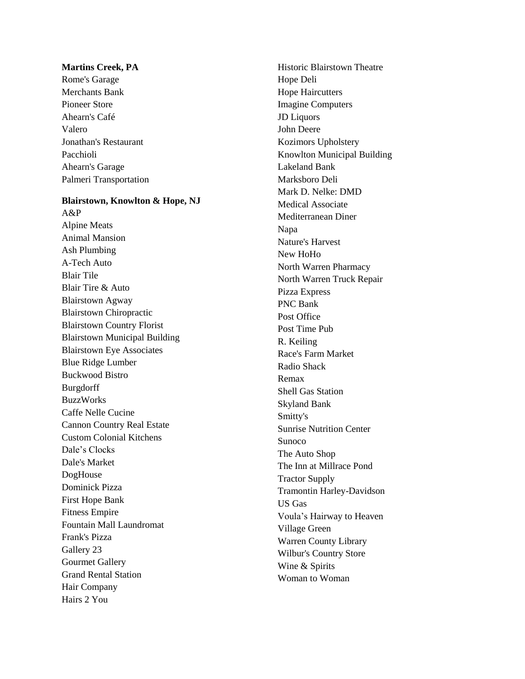### **Martins Cree k, PA**

Rome's Garage Merchants Bank Pioneer Store Ahearn's Café Valero Jonathan's Restaurant Pacchioli Ahearn's Garage Palmeri Transportation

### **Blairstown, Knowlton & Hope, NJ**

A&P Alpine Meats Animal Mansion Ash Plumbing A-Tech Auto Blair Tile Blair Tire & Auto Blairstown Agway Blairstown Chiropractic Blairstown Country Florist Blairstown Municipal Building Blairstown Eye Associates Blue Ridge Lumber Buckwood Bistro Burgdorff BuzzWorks Caffe Nelle Cucine Cannon Country Real Estate Custom Colonial Kitchens Dale's Clocks Dale's Market DogHouse Dominick Pizza First Hope Bank Fitness Empire Fountain Mall Laundromat Frank's Pizza Gallery 23 Gourmet Gallery Grand Rental Station Hair Company Hairs 2 You

Historic Blairstown Theatre Hope Deli Hope Haircutters Imagine Computers JD Liquors John Deere Kozimors Upholstery Knowlton Municipal Building Lakeland Bank Marksboro Deli Mark D. Nelke: DMD Medical Associate Mediterranean Diner Napa Nature's Harvest New HoHo North Warren Pharmacy North Warren Truck Repair Pizza Express PNC Bank Post Office Post Time Pub R. Keiling Race's Farm Market Radio Shack Remax Shell Gas Station Skyland Bank Smitty's Sunrise Nutrition Center Sunoco The Auto Shop The Inn at Millrace Pond Tractor Supply Tramontin Harley -Davidson US Gas Voula's Hairway to Heaven Village Green Warren County Library Wilbur's Country Store Wine & Spirits Woman to Woman